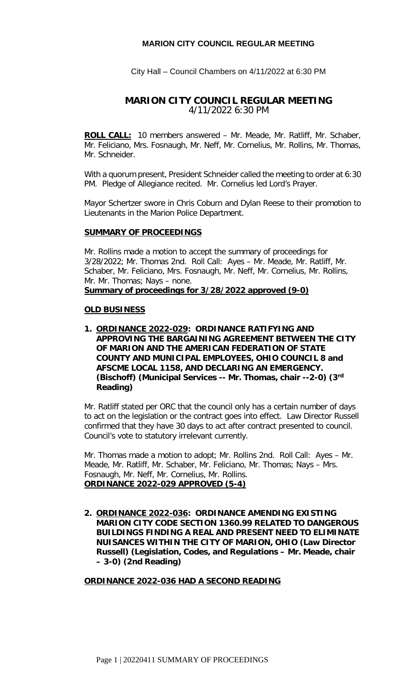City Hall – Council Chambers on 4/11/2022 at 6:30 PM

# **MARION CITY COUNCIL REGULAR MEETING** 4/11/2022 6:30 PM

**ROLL CALL:** 10 members answered – Mr. Meade, Mr. Ratliff, Mr. Schaber, Mr. Feliciano, Mrs. Fosnaugh, Mr. Neff, Mr. Cornelius, Mr. Rollins, Mr. Thomas, Mr. Schneider.

With a quorum present, President Schneider called the meeting to order at 6:30 PM. Pledge of Allegiance recited. Mr. Cornelius led Lord's Prayer.

Mayor Schertzer swore in Chris Coburn and Dylan Reese to their promotion to Lieutenants in the Marion Police Department.

### **SUMMARY OF PROCEEDINGS**

Mr. Rollins made a motion to accept the summary of proceedings for 3/28/2022; Mr. Thomas 2nd. Roll Call: Ayes – Mr. Meade, Mr. Ratliff, Mr. Schaber, Mr. Feliciano, Mrs. Fosnaugh, Mr. Neff, Mr. Cornelius, Mr. Rollins, Mr. Mr. Thomas; Nays – none.

**Summary of proceedings for 3/28/2022 approved (9-0)**

#### **OLD BUSINESS**

**1. [ORDINANCE](https://www.marionohio.us/sites/default/files/files/citycouncil/LEGISLATION%202021/ORD%202022-029%20AFSCME%20Council%208%20and%20LOCAL%201158%20Contract%20Ordinance(1).pdf) 2022-029: ORDINANCE RATIFYING AND APPROVING THE BARGAINING AGREEMENT BETWEEN THE CITY OF MARION AND THE AMERICAN FEDERATION OF STATE COUNTY AND MUNICIPAL EMPLOYEES, OHIO COUNCIL 8 and AFSCME LOCAL 1158, AND DECLARING AN EMERGENCY. (Bischoff) (Municipal Services -- Mr. Thomas, chair --2-0) (3rd Reading)**

Mr. Ratliff stated per ORC that the council only has a certain number of days to act on the legislation or the contract goes into effect. Law Director Russell confirmed that they have 30 days to act after contract presented to council. Council's vote to statutory irrelevant currently.

Mr. Thomas made a motion to adopt; Mr. Rollins 2nd. Roll Call: Ayes – Mr. Meade, Mr. Ratliff, Mr. Schaber, Mr. Feliciano, Mr. Thomas; Nays – Mrs. Fosnaugh, Mr. Neff, Mr. Cornelius, Mr. Rollins. **ORDINANCE 2022-029 APPROVED (5-4)**

**2. [ORDINANCE 2022-036:](https://www.marionohio.us/sites/default/files/files/citycouncil/LEGISLATION%202021/ORD%202022-036%20DANGEROUS%20BUILDING%20CODE%20NUISANCES(1).pdf) ORDINANCE AMENDING EXISTING MARION CITY CODE SECTION 1360.99 RELATED TO DANGEROUS BUILDINGS FINDING A REAL AND PRESENT NEED TO ELIMINATE NUISANCES WITHIN THE CITY OF MARION, OHIO (Law Director Russell) (Legislation, Codes, and Regulations – Mr. Meade, chair – 3-0) (2nd Reading)**

**ORDINANCE 2022-036 HAD A SECOND READING**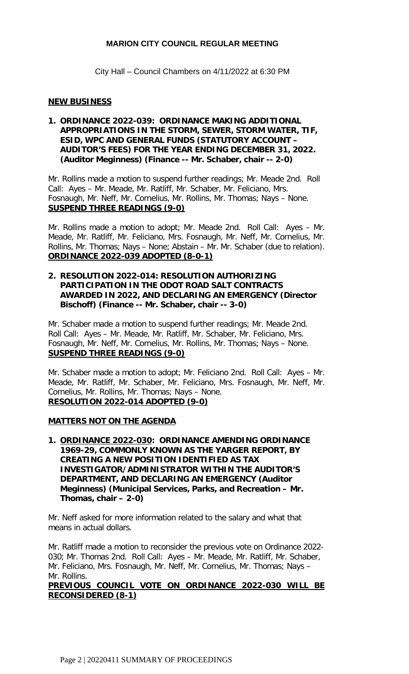City Hall – Council Chambers on 4/11/2022 at 6:30 PM

## **NEW BUSINESS**

**1. [ORDINANCE 2022-039:](https://www.marionohio.us/sites/default/files/files/citycouncil/LEGISLATION%202021/ORD%202022-039%20APPROPRIATION(2).pdf) ORDINANCE MAKING ADDITIONAL APPROPRIATIONS IN THE STORM, SEWER, STORM WATER, TIF, ESID, WPC AND GENERAL FUNDS (STATUTORY ACCOUNT – AUDITOR'S FEES) FOR THE YEAR ENDING DECEMBER 31, 2022. (Auditor Meginness) (Finance -- Mr. Schaber, chair -- 2-0)**

Mr. Rollins made a motion to suspend further readings; Mr. Meade 2nd. Roll Call: Ayes – Mr. Meade, Mr. Ratliff, Mr. Schaber, Mr. Feliciano, Mrs. Fosnaugh, Mr. Neff, Mr. Cornelius, Mr. Rollins, Mr. Thomas; Nays – None. **SUSPEND THREE READINGS (9-0)**

Mr. Rollins made a motion to adopt; Mr. Meade 2nd. Roll Call: Ayes – Mr. Meade, Mr. Ratliff, Mr. Feliciano, Mrs. Fosnaugh, Mr. Neff, Mr. Cornelius, Mr. Rollins, Mr. Thomas; Nays – None; Abstain – Mr. Mr. Schaber (due to relation). **ORDINANCE 2022-039 ADOPTED (8-0-1)**

**2. [RESOLUTION 2022-014:](https://www.marionohio.us/sites/default/files/files/citycouncil/LEGISLATION%202021/RES%202022-014%20Resolution%20SALT%20Purchase%20through%20ODOT%20for%202022-2023.pdf) RESOLUTION AUTHORIZING PARTICIPATION IN THE ODOT ROAD SALT CONTRACTS AWARDED IN 2022, AND DECLARING AN EMERGENCY (Director Bischoff) (Finance -- Mr. Schaber, chair -- 3-0)**

Mr. Schaber made a motion to suspend further readings; Mr. Meade 2nd. Roll Call: Ayes – Mr. Meade, Mr. Ratliff, Mr. Schaber, Mr. Feliciano, Mrs. Fosnaugh, Mr. Neff, Mr. Cornelius, Mr. Rollins, Mr. Thomas; Nays – None. **SUSPEND THREE READINGS (9-0)**

Mr. Schaber made a motion to adopt; Mr. Feliciano 2nd. Roll Call: Ayes – Mr. Meade, Mr. Ratliff, Mr. Schaber, Mr. Feliciano, Mrs. Fosnaugh, Mr. Neff, Mr. Cornelius, Mr. Rollins, Mr. Thomas; Nays – None. **RESOLUTION 2022-014 ADOPTED (9-0)**

## **MATTERS NOT ON THE AGENDA**

**1. [ORDINANCE 2022-030:](https://www.marionohio.us/sites/default/files/files/citycouncil/LEGISLATION%202021/ORD%202022-030%20YARGER%20REPORT%20ESTABLISHING%20TAX%20INVESTIGATOR%20ADMINISTRATOR(3).pdf) ORDINANCE AMENDING ORDINANCE 1969-29, COMMONLY KNOWN AS THE YARGER REPORT, BY CREATING A NEW POSITION IDENTIFIED AS TAX INVESTIGATOR/ADMINISTRATOR WITHIN THE AUDITOR'S DEPARTMENT, AND DECLARING AN EMERGENCY (Auditor Meginness) (Municipal Services, Parks, and Recreation – Mr. Thomas, chair – 2-0)**

Mr. Neff asked for more information related to the salary and what that means in actual dollars.

Mr. Ratliff made a motion to reconsider the previous vote on Ordinance 2022- 030; Mr. Thomas 2nd. Roll Call: Ayes – Mr. Meade, Mr. Ratliff, Mr. Schaber, Mr. Feliciano, Mrs. Fosnaugh, Mr. Neff, Mr. Cornelius, Mr. Thomas; Nays – Mr. Rollins.

## **PREVIOUS COUNCIL VOTE ON ORDINANCE 2022-030 WILL BE RECONSIDERED (8-1)**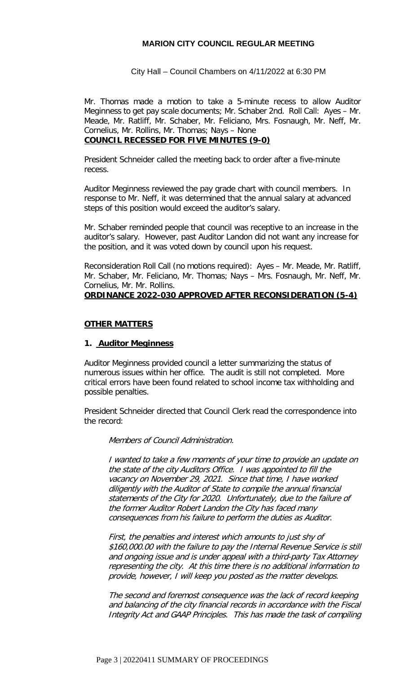City Hall – Council Chambers on 4/11/2022 at 6:30 PM

Mr. Thomas made a motion to take a 5-minute recess to allow Auditor Meginness to get pay scale documents; Mr. Schaber 2nd. Roll Call: Ayes – Mr. Meade, Mr. Ratliff, Mr. Schaber, Mr. Feliciano, Mrs. Fosnaugh, Mr. Neff, Mr. Cornelius, Mr. Rollins, Mr. Thomas; Nays – None

# **COUNCIL RECESSED FOR FIVE MINUTES (9-0)**

President Schneider called the meeting back to order after a five-minute recess.

Auditor Meginness reviewed the pay grade chart with council members. In response to Mr. Neff, it was determined that the annual salary at advanced steps of this position would exceed the auditor's salary.

Mr. Schaber reminded people that council was receptive to an increase in the auditor's salary. However, past Auditor Landon did not want any increase for the position, and it was voted down by council upon his request.

Reconsideration Roll Call (no motions required): Ayes – Mr. Meade, Mr. Ratliff, Mr. Schaber, Mr. Feliciano, Mr. Thomas; Nays – Mrs. Fosnaugh, Mr. Neff, Mr. Cornelius, Mr. Mr. Rollins.

## **ORDINANCE 2022-030 APPROVED AFTER RECONSIDERATION (5-4)**

### **OTHER MATTERS**

## **1. Auditor Meginness**

Auditor Meginness provided council a letter summarizing the status of numerous issues within her office. The audit is still not completed. More critical errors have been found related to school income tax withholding and possible penalties.

President Schneider directed that Council Clerk read the correspondence into the record:

Members of Council Administration.

I wanted to take a few moments of your time to provide an update on the state of the city Auditors Office. I was appointed to fill the vacancy on November 29, 2021. Since that time, I have worked diligently with the Auditor of State to compile the annual financial statements of the City for 2020. Unfortunately, due to the failure of the former Auditor Robert Landon the City has faced many consequences from his failure to perform the duties as Auditor.

First, the penalties and interest which amounts to just shy of \$160,000.00 with the failure to pay the Internal Revenue Service is still and ongoing issue and is under appeal with a third-party Tax Attorney representing the city. At this time there is no additional information to provide, however, I will keep you posted as the matter develops.

The second and foremost consequence was the lack of record keeping and balancing of the city financial records in accordance with the Fiscal Integrity Act and GAAP Principles. This has made the task of compiling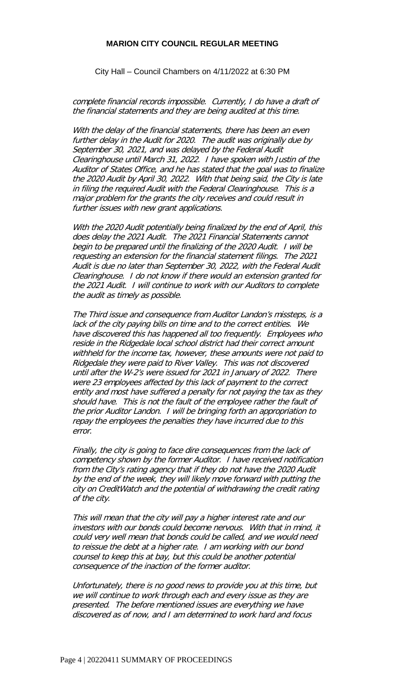City Hall – Council Chambers on 4/11/2022 at 6:30 PM

complete financial records impossible. Currently, I do have a draft of the financial statements and they are being audited at this time.

With the delay of the financial statements, there has been an even further delay in the Audit for 2020. The audit was originally due by September 30, 2021, and was delayed by the Federal Audit Clearinghouse until March 31, 2022. I have spoken with Justin of the Auditor of States Office, and he has stated that the goal was to finalize the 2020 Audit by April 30, 2022. With that being said, the City is late in filing the required Audit with the Federal Clearinghouse. This is a major problem for the grants the city receives and could result in further issues with new grant applications.

With the 2020 Audit potentially being finalized by the end of April, this does delay the 2021 Audit. The 2021 Financial Statements cannot begin to be prepared until the finalizing of the 2020 Audit. I will be requesting an extension for the financial statement filings. The 2021 Audit is due no later than September 30, 2022, with the Federal Audit Clearinghouse. I do not know if there would an extension granted for the 2021 Audit. I will continue to work with our Auditors to complete the audit as timely as possible.

The Third issue and consequence from Auditor Landon's missteps, is a lack of the city paying bills on time and to the correct entities. We have discovered this has happened all too frequently. Employees who reside in the Ridgedale local school district had their correct amount withheld for the income tax, however, these amounts were not paid to Ridgedale they were paid to River Valley. This was not discovered until after the W-2's were issued for 2021 in January of 2022. There were 23 employees affected by this lack of payment to the correct entity and most have suffered a penalty for not paying the tax as they should have. This is not the fault of the employee rather the fault of the prior Auditor Landon. I will be bringing forth an appropriation to repay the employees the penalties they have incurred due to this error.

Finally, the city is going to face dire consequences from the lack of competency shown by the former Auditor. I have received notification from the City's rating agency that if they do not have the 2020 Audit by the end of the week, they will likely move forward with putting the city on CreditWatch and the potential of withdrawing the credit rating of the city.

This will mean that the city will pay a higher interest rate and our investors with our bonds could become nervous. With that in mind, it could very well mean that bonds could be called, and we would need to reissue the debt at a higher rate. I am working with our bond counsel to keep this at bay, but this could be another potential consequence of the inaction of the former auditor.

Unfortunately, there is no good news to provide you at this time, but we will continue to work through each and every issue as they are presented. The before mentioned issues are everything we have discovered as of now, and I am determined to work hard and focus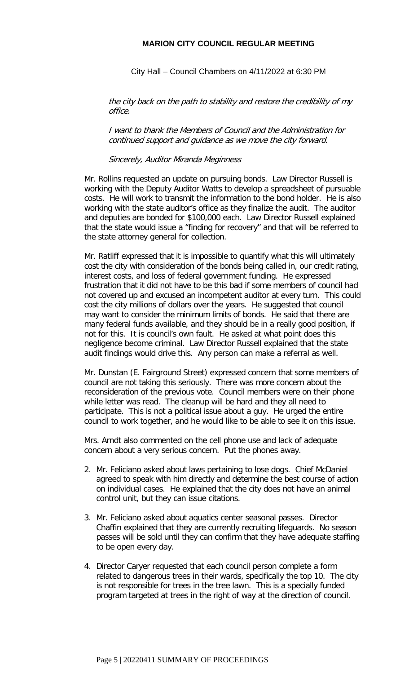City Hall – Council Chambers on 4/11/2022 at 6:30 PM

the city back on the path to stability and restore the credibility of my office.

I want to thank the Members of Council and the Administration for continued support and guidance as we move the city forward.

#### Sincerely, Auditor Miranda Meginness

Mr. Rollins requested an update on pursuing bonds. Law Director Russell is working with the Deputy Auditor Watts to develop a spreadsheet of pursuable costs. He will work to transmit the information to the bond holder. He is also working with the state auditor's office as they finalize the audit. The auditor and deputies are bonded for \$100,000 each. Law Director Russell explained that the state would issue a "finding for recovery" and that will be referred to the state attorney general for collection.

Mr. Ratliff expressed that it is impossible to quantify what this will ultimately cost the city with consideration of the bonds being called in, our credit rating, interest costs, and loss of federal government funding. He expressed frustration that it did not have to be this bad if some members of council had not covered up and excused an incompetent auditor at every turn. This could cost the city millions of dollars over the years. He suggested that council may want to consider the minimum limits of bonds. He said that there are many federal funds available, and they should be in a really good position, if not for this. It is council's own fault. He asked at what point does this negligence become criminal. Law Director Russell explained that the state audit findings would drive this. Any person can make a referral as well.

Mr. Dunstan (E. Fairground Street) expressed concern that some members of council are not taking this seriously. There was more concern about the reconsideration of the previous vote. Council members were on their phone while letter was read. The cleanup will be hard and they all need to participate. This is not a political issue about a guy. He urged the entire council to work together, and he would like to be able to see it on this issue.

Mrs. Arndt also commented on the cell phone use and lack of adequate concern about a very serious concern. Put the phones away.

- 2. Mr. Feliciano asked about laws pertaining to lose dogs. Chief McDaniel agreed to speak with him directly and determine the best course of action on individual cases. He explained that the city does not have an animal control unit, but they can issue citations.
- 3. Mr. Feliciano asked about aquatics center seasonal passes. Director Chaffin explained that they are currently recruiting lifeguards. No season passes will be sold until they can confirm that they have adequate staffing to be open every day.
- 4. Director Caryer requested that each council person complete a form related to dangerous trees in their wards, specifically the top 10. The city is not responsible for trees in the tree lawn. This is a specially funded program targeted at trees in the right of way at the direction of council.